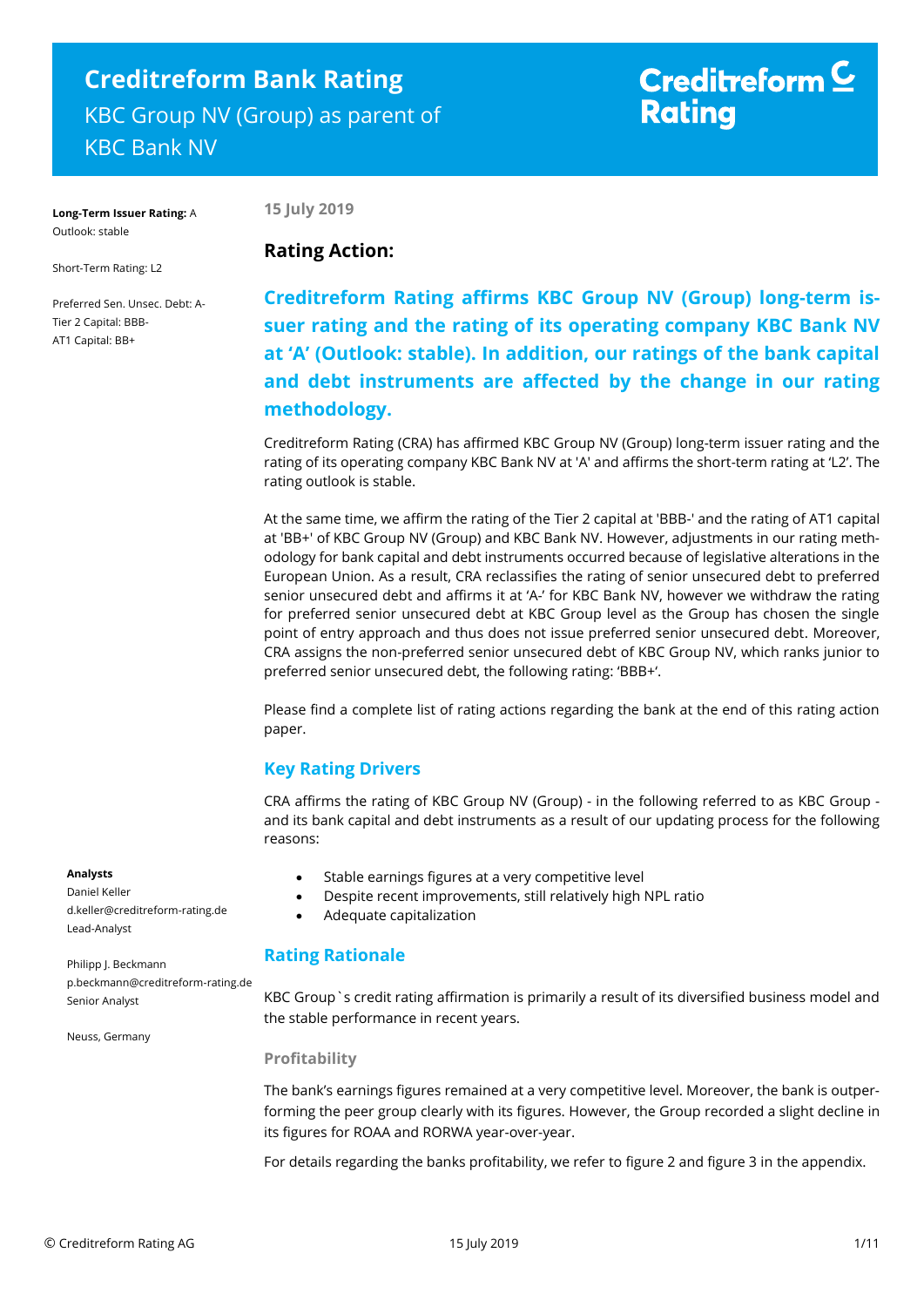# **Creditreform Bank Rating** KBC Group NV (Group) as parent of KBC Bank NV

# Creditreform  $\subseteq$ **Rating**

**Long-Term Issuer Rating:** A Outlook: stable

**15 July 2019**

Short-Term Rating: L2

Preferred Sen. Unsec. Debt: A-Tier 2 Capital: BBB-AT1 Capital: BB+

## **Rating Action:**

**Creditreform Rating affirms KBC Group NV (Group) long-term issuer rating and the rating of its operating company KBC Bank NV at 'A' (Outlook: stable). In addition, our ratings of the bank capital and debt instruments are affected by the change in our rating methodology.**

Creditreform Rating (CRA) has affirmed KBC Group NV (Group) long-term issuer rating and the rating of its operating company KBC Bank NV at 'A' and affirms the short-term rating at 'L2'. The rating outlook is stable.

At the same time, we affirm the rating of the Tier 2 capital at 'BBB-' and the rating of AT1 capital at 'BB+' of KBC Group NV (Group) and KBC Bank NV. However, adjustments in our rating methodology for bank capital and debt instruments occurred because of legislative alterations in the European Union. As a result, CRA reclassifies the rating of senior unsecured debt to preferred senior unsecured debt and affirms it at 'A-' for KBC Bank NV, however we withdraw the rating for preferred senior unsecured debt at KBC Group level as the Group has chosen the single point of entry approach and thus does not issue preferred senior unsecured debt. Moreover, CRA assigns the non-preferred senior unsecured debt of KBC Group NV, which ranks junior to preferred senior unsecured debt, the following rating: 'BBB+'.

Please find a complete list of rating actions regarding the bank at the end of this rating action paper.

## **Key Rating Drivers**

CRA affirms the rating of KBC Group NV (Group) - in the following referred to as KBC Group and its bank capital and debt instruments as a result of our updating process for the following reasons:

- Stable earnings figures at a very competitive level
- Despite recent improvements, still relatively high NPL ratio
- Adequate capitalization

### **Rating Rationale**

KBC Group`s credit rating affirmation is primarily a result of its diversified business model and the stable performance in recent years.

### **Profitability**

The bank's earnings figures remained at a very competitive level. Moreover, the bank is outperforming the peer group clearly with its figures. However, the Group recorded a slight decline in its figures for ROAA and RORWA year-over-year.

For details regarding the banks profitability, we refer to figure 2 and figure 3 in the appendix.

#### **Analysts**

Daniel Keller d.keller@creditreform-rating.de Lead-Analyst

Philipp J. Beckmann p.beckmann@creditreform-rating.de Senior Analyst

Neuss, Germany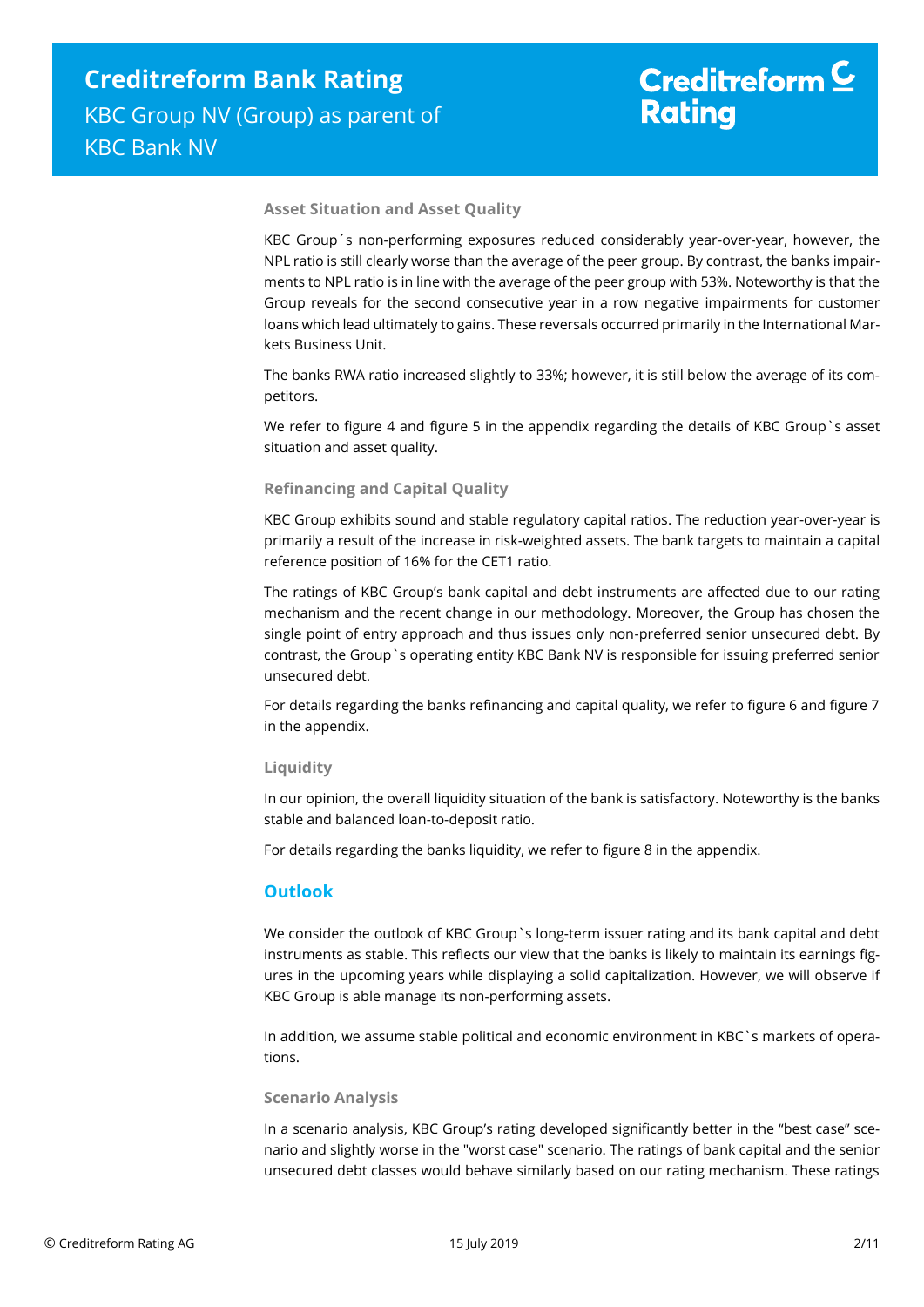#### **Asset Situation and Asset Quality**

KBC Group´s non-performing exposures reduced considerably year-over-year, however, the NPL ratio is still clearly worse than the average of the peer group. By contrast, the banks impairments to NPL ratio is in line with the average of the peer group with 53%. Noteworthy is that the Group reveals for the second consecutive year in a row negative impairments for customer loans which lead ultimately to gains. These reversals occurred primarily in the International Markets Business Unit.

The banks RWA ratio increased slightly to 33%; however, it is still below the average of its competitors.

We refer to figure 4 and figure 5 in the appendix regarding the details of KBC Group `s asset situation and asset quality.

#### **Refinancing and Capital Quality**

KBC Group exhibits sound and stable regulatory capital ratios. The reduction year-over-year is primarily a result of the increase in risk-weighted assets. The bank targets to maintain a capital reference position of 16% for the CET1 ratio.

The ratings of KBC Group's bank capital and debt instruments are affected due to our rating mechanism and the recent change in our methodology. Moreover, the Group has chosen the single point of entry approach and thus issues only non-preferred senior unsecured debt. By contrast, the Group`s operating entity KBC Bank NV is responsible for issuing preferred senior unsecured debt.

For details regarding the banks refinancing and capital quality, we refer to figure 6 and figure 7 in the appendix.

#### **Liquidity**

In our opinion, the overall liquidity situation of the bank is satisfactory. Noteworthy is the banks stable and balanced loan-to-deposit ratio.

For details regarding the banks liquidity, we refer to figure 8 in the appendix.

#### **Outlook**

We consider the outlook of KBC Group`s long-term issuer rating and its bank capital and debt instruments as stable. This reflects our view that the banks is likely to maintain its earnings figures in the upcoming years while displaying a solid capitalization. However, we will observe if KBC Group is able manage its non-performing assets.

In addition, we assume stable political and economic environment in KBC`s markets of operations.

#### **Scenario Analysis**

In a scenario analysis, KBC Group's rating developed significantly better in the "best case" scenario and slightly worse in the "worst case" scenario. The ratings of bank capital and the senior unsecured debt classes would behave similarly based on our rating mechanism. These ratings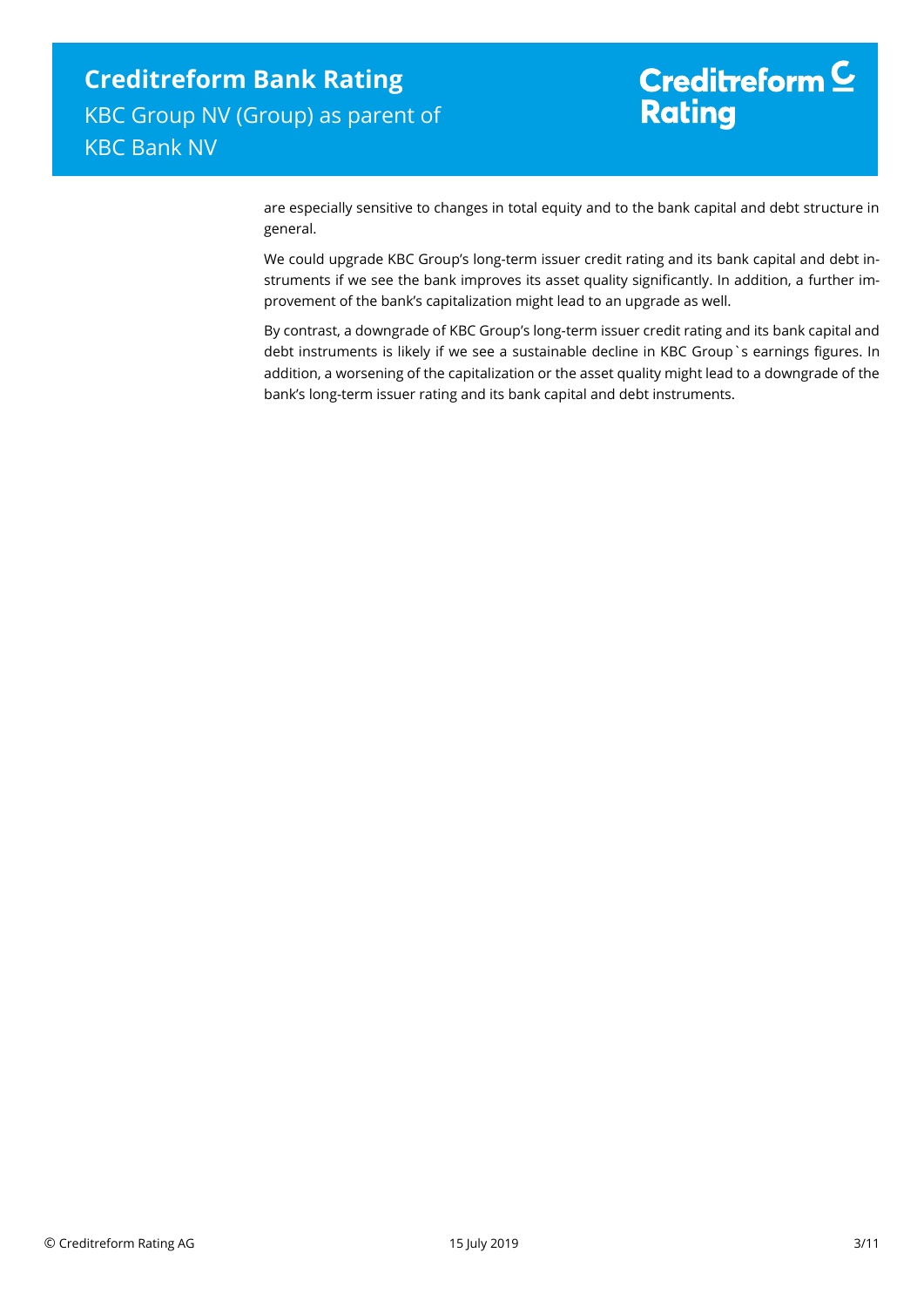# Creditreform  $\underline{\mathsf{C}}$ **Rating**

are especially sensitive to changes in total equity and to the bank capital and debt structure in general.

We could upgrade KBC Group's long-term issuer credit rating and its bank capital and debt instruments if we see the bank improves its asset quality significantly. In addition, a further improvement of the bank's capitalization might lead to an upgrade as well.

By contrast, a downgrade of KBC Group's long-term issuer credit rating and its bank capital and debt instruments is likely if we see a sustainable decline in KBC Group`s earnings figures. In addition, a worsening of the capitalization or the asset quality might lead to a downgrade of the bank's long-term issuer rating and its bank capital and debt instruments.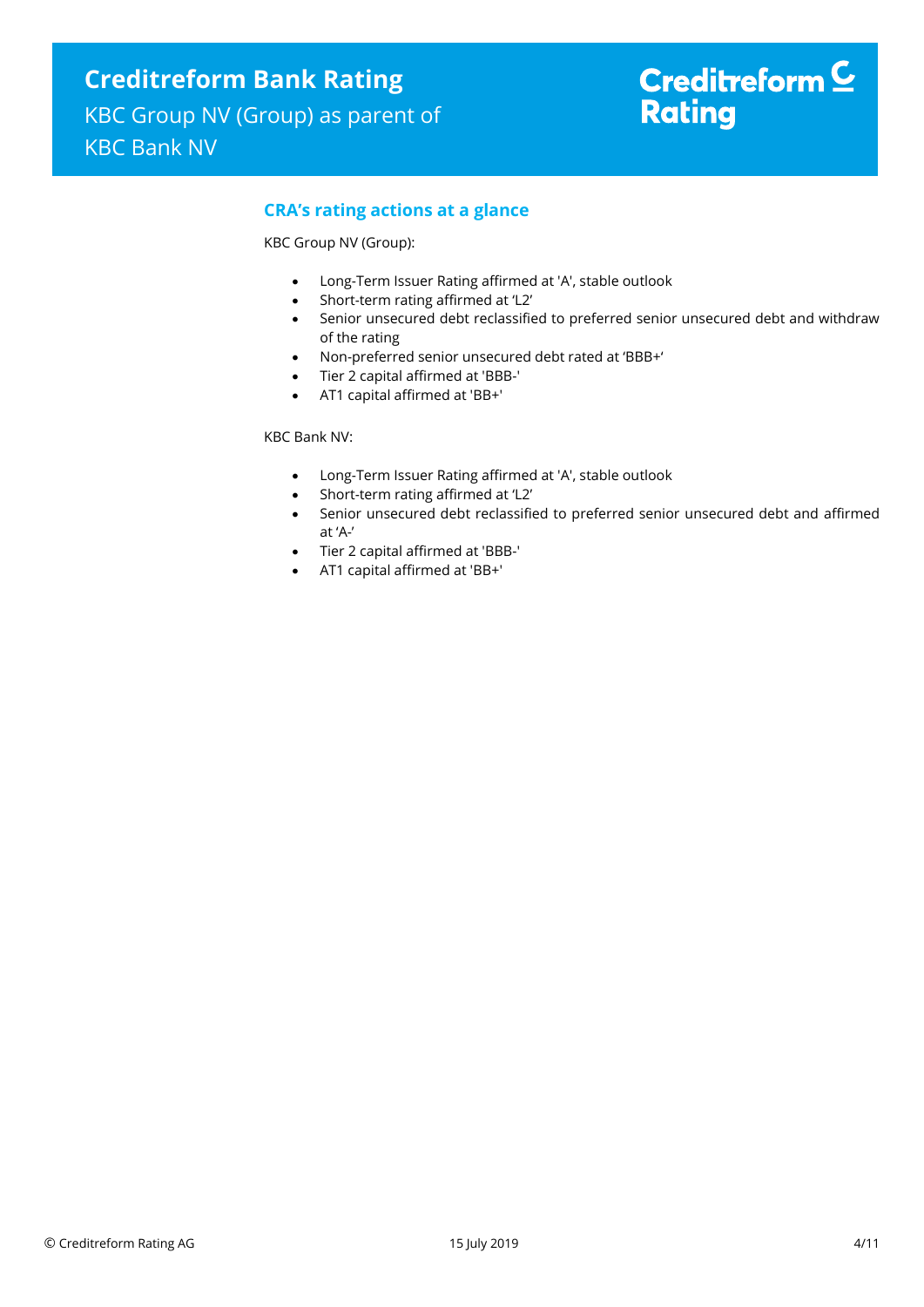# Creditreform  $\underline{\mathsf{C}}$ **Rating**

## **CRA's rating actions at a glance**

KBC Group NV (Group):

- Long-Term Issuer Rating affirmed at 'A', stable outlook
- Short-term rating affirmed at 'L2'
- Senior unsecured debt reclassified to preferred senior unsecured debt and withdraw of the rating
- Non-preferred senior unsecured debt rated at 'BBB+'
- Tier 2 capital affirmed at 'BBB-'
- AT1 capital affirmed at 'BB+'

KBC Bank NV:

- Long-Term Issuer Rating affirmed at 'A', stable outlook
- Short-term rating affirmed at 'L2'
- Senior unsecured debt reclassified to preferred senior unsecured debt and affirmed at 'A-'
- Tier 2 capital affirmed at 'BBB-'
- AT1 capital affirmed at 'BB+'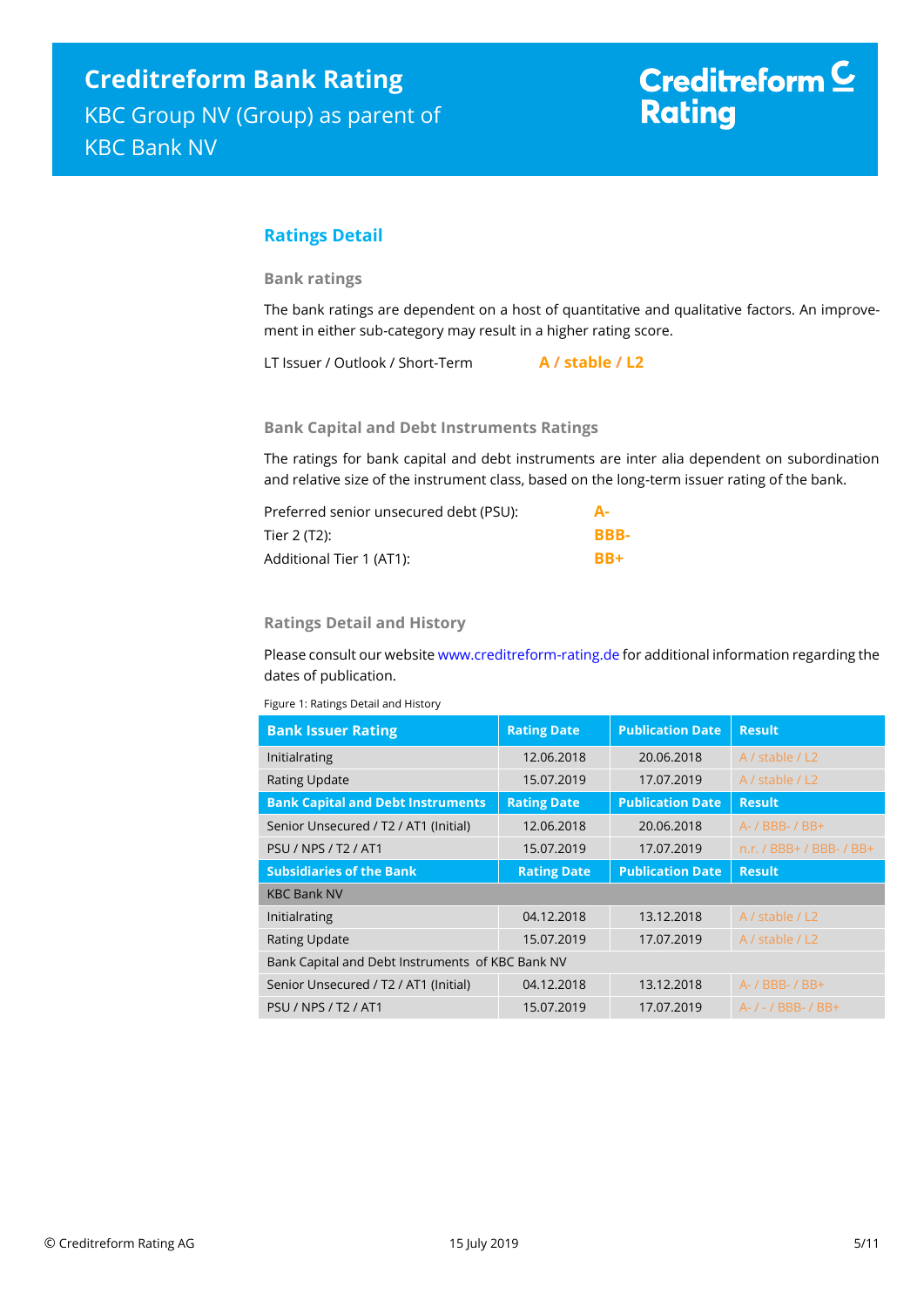## **Ratings Detail**

**Bank ratings**

The bank ratings are dependent on a host of quantitative and qualitative factors. An improvement in either sub-category may result in a higher rating score.

LT Issuer / Outlook / Short-Term **A / stable / L2**

#### **Bank Capital and Debt Instruments Ratings**

The ratings for bank capital and debt instruments are inter alia dependent on subordination and relative size of the instrument class, based on the long-term issuer rating of the bank.

| Preferred senior unsecured debt (PSU): |      |
|----------------------------------------|------|
| Tier 2 (T2):                           | BBB- |
| Additional Tier 1 (AT1):               | RR+  |

#### **Ratings Detail and History**

Please consult our websit[e www.creditreform-rating.de](http://www.creditreform-rating.de/) for additional information regarding the dates of publication.

Figure 1: Ratings Detail and History

| <b>Bank Issuer Rating</b>                        | <b>Rating Date</b> | <b>Publication Date</b> | <b>Result</b>            |
|--------------------------------------------------|--------------------|-------------------------|--------------------------|
| Initialrating                                    | 12.06.2018         | 20.06.2018              | A / stable / L2          |
| <b>Rating Update</b>                             | 15.07.2019         | 17.07.2019              | A / stable / L2          |
| <b>Bank Capital and Debt Instruments</b>         | <b>Rating Date</b> | <b>Publication Date</b> | <b>Result</b>            |
| Senior Unsecured / T2 / AT1 (Initial)            | 12.06.2018         | 20.06.2018              | $A - / BBB - / BB +$     |
| <b>PSU / NPS / T2 / AT1</b>                      | 15.07.2019         | 17.07.2019              | n.r. / BBB+ / BBB- / BB+ |
| <b>Subsidiaries of the Bank</b>                  | <b>Rating Date</b> | <b>Publication Date</b> | <b>Result</b>            |
| <b>KBC Bank NV</b>                               |                    |                         |                          |
| Initialrating                                    | 04.12.2018         | 13.12.2018              | A / stable / L2          |
| <b>Rating Update</b>                             | 15.07.2019         | 17.07.2019              | A / stable / L2          |
| Bank Capital and Debt Instruments of KBC Bank NV |                    |                         |                          |
| Senior Unsecured / T2 / AT1 (Initial)            | 04.12.2018         | 13.12.2018              | A- / BBB- / BB+          |
| <b>PSU / NPS / T2 / AT1</b>                      | 15.07.2019         | 17.07.2019              | A- / - / BBB- / BB+      |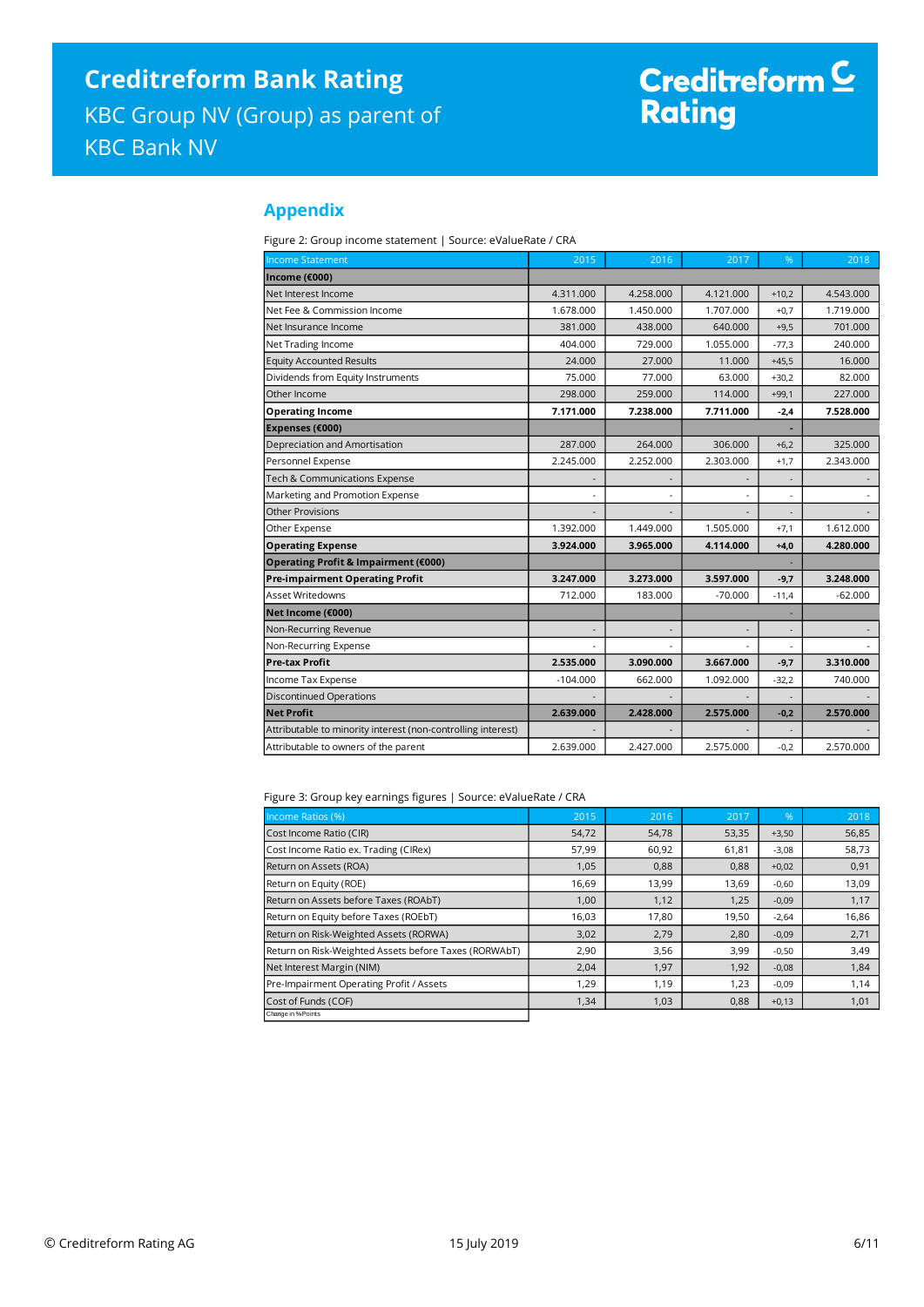# Creditreform <sup>C</sup><br>Rating

### **Appendix**

Figure 2: Group income statement | Source: eValueRate / CRA

| <b>Income Statement</b>                                      | 2015       | 2016      | 2017      | %                        | 2018      |
|--------------------------------------------------------------|------------|-----------|-----------|--------------------------|-----------|
| Income (€000)                                                |            |           |           |                          |           |
| Net Interest Income                                          | 4.311.000  | 4.258.000 | 4.121.000 | $+10,2$                  | 4.543.000 |
| Net Fee & Commission Income                                  | 1.678.000  | 1.450.000 | 1.707.000 | $+0.7$                   | 1.719.000 |
| Net Insurance Income                                         | 381.000    | 438.000   | 640.000   | $+9,5$                   | 701.000   |
| Net Trading Income                                           | 404.000    | 729.000   | 1.055.000 | $-77,3$                  | 240.000   |
| <b>Equity Accounted Results</b>                              | 24,000     | 27.000    | 11.000    | $+45,5$                  | 16.000    |
| Dividends from Equity Instruments                            | 75.000     | 77.000    | 63.000    | $+30.2$                  | 82.000    |
| Other Income                                                 | 298.000    | 259.000   | 114.000   | $+99,1$                  | 227.000   |
| <b>Operating Income</b>                                      | 7.171.000  | 7.238.000 | 7.711.000 | $-2.4$                   | 7.528.000 |
| Expenses (€000)                                              |            |           |           |                          |           |
| Depreciation and Amortisation                                | 287.000    | 264.000   | 306.000   | $+6,2$                   | 325.000   |
| Personnel Expense                                            | 2.245.000  | 2.252.000 | 2.303.000 | $+1,7$                   | 2.343.000 |
| Tech & Communications Expense                                |            |           |           |                          |           |
| Marketing and Promotion Expense                              |            |           |           | ٠                        |           |
| <b>Other Provisions</b>                                      |            |           |           |                          |           |
| Other Expense                                                | 1.392.000  | 1.449.000 | 1.505.000 | $+7,1$                   | 1.612.000 |
| <b>Operating Expense</b>                                     | 3.924.000  | 3.965.000 | 4.114.000 | $+4,0$                   | 4.280.000 |
| Operating Profit & Impairment (€000)                         |            |           |           |                          |           |
| <b>Pre-impairment Operating Profit</b>                       | 3.247.000  | 3.273.000 | 3.597.000 | $-9,7$                   | 3.248.000 |
| <b>Asset Writedowns</b>                                      | 712.000    | 183.000   | $-70.000$ | $-11,4$                  | $-62.000$ |
| Net Income (€000)                                            |            |           |           |                          |           |
| Non-Recurring Revenue                                        |            |           |           | $\overline{\phantom{a}}$ |           |
| Non-Recurring Expense                                        |            |           |           |                          |           |
| <b>Pre-tax Profit</b>                                        | 2.535.000  | 3.090.000 | 3.667.000 | $-9,7$                   | 3.310.000 |
| Income Tax Expense                                           | $-104.000$ | 662.000   | 1.092.000 | $-32,2$                  | 740.000   |
| <b>Discontinued Operations</b>                               |            |           |           |                          |           |
| <b>Net Profit</b>                                            | 2.639.000  | 2.428.000 | 2.575.000 | $-0,2$                   | 2.570.000 |
| Attributable to minority interest (non-controlling interest) |            |           |           |                          |           |
| Attributable to owners of the parent                         | 2.639.000  | 2.427.000 | 2.575.000 | $-0,2$                   | 2.570.000 |

Figure 3: Group key earnings figures | Source: eValueRate / CRA

| Income Ratios (%)                                     | 2015  | 2016  | 2017  | %       | 2018  |
|-------------------------------------------------------|-------|-------|-------|---------|-------|
| Cost Income Ratio (CIR)                               | 54,72 | 54,78 | 53,35 | $+3,50$ | 56,85 |
| Cost Income Ratio ex. Trading (CIRex)                 | 57,99 | 60,92 | 61,81 | $-3,08$ | 58,73 |
| Return on Assets (ROA)                                | 1,05  | 0,88  | 0,88  | $+0,02$ | 0,91  |
| Return on Equity (ROE)                                | 16,69 | 13,99 | 13,69 | $-0,60$ | 13,09 |
| Return on Assets before Taxes (ROAbT)                 | 1,00  | 1,12  | 1,25  | $-0,09$ | 1,17  |
| Return on Equity before Taxes (ROEbT)                 | 16,03 | 17,80 | 19,50 | $-2,64$ | 16,86 |
| Return on Risk-Weighted Assets (RORWA)                | 3,02  | 2,79  | 2,80  | $-0,09$ | 2,71  |
| Return on Risk-Weighted Assets before Taxes (RORWAbT) | 2,90  | 3,56  | 3,99  | $-0,50$ | 3,49  |
| Net Interest Margin (NIM)                             | 2,04  | 1,97  | 1,92  | $-0,08$ | 1,84  |
| Pre-Impairment Operating Profit / Assets              | 1,29  | 1,19  | 1,23  | $-0,09$ | 1,14  |
| Cost of Funds (COF)                                   | 1,34  | 1,03  | 0,88  | $+0,13$ | 1,01  |
| Change in % Points                                    |       |       |       |         |       |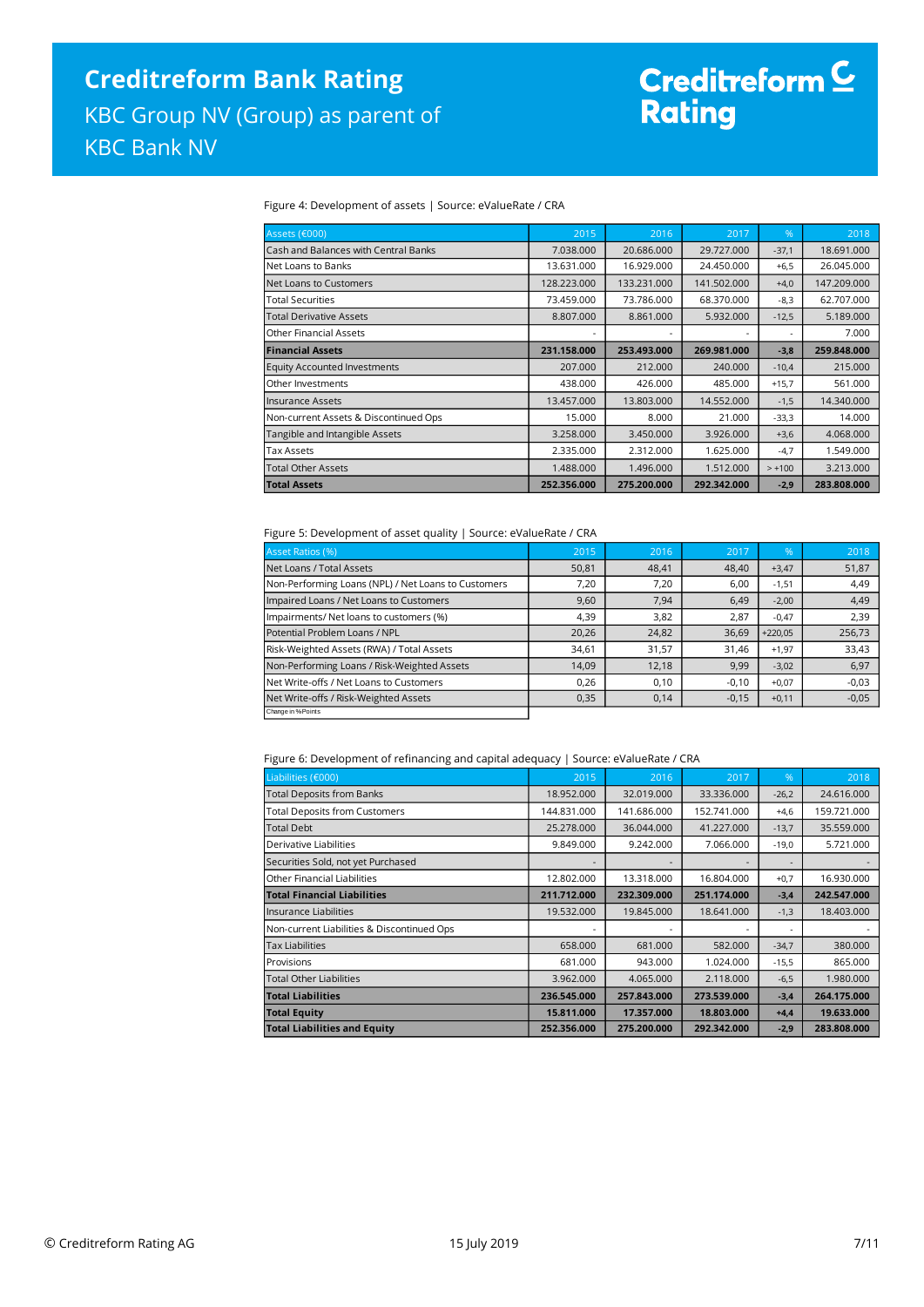# Creditreform <mark>C</mark><br>Rating

#### Figure 4: Development of assets | Source: eValueRate / CRA

| Assets (€000)                         | 2015        | 2016        | 2017        | %                        | 2018        |
|---------------------------------------|-------------|-------------|-------------|--------------------------|-------------|
| Cash and Balances with Central Banks  | 7.038.000   | 20.686.000  | 29.727.000  | $-37,1$                  | 18.691.000  |
| Net Loans to Banks                    | 13.631.000  | 16.929.000  | 24.450.000  | $+6,5$                   | 26.045.000  |
| Net Loans to Customers                | 128.223.000 | 133.231.000 | 141.502.000 | $+4,0$                   | 147.209.000 |
| <b>Total Securities</b>               | 73.459.000  | 73.786.000  | 68.370.000  | $-8,3$                   | 62.707.000  |
| <b>Total Derivative Assets</b>        | 8.807.000   | 8.861.000   | 5.932.000   | $-12,5$                  | 5.189.000   |
| <b>Other Financial Assets</b>         | ۰           |             |             | $\overline{\phantom{a}}$ | 7.000       |
| <b>Financial Assets</b>               | 231.158.000 | 253.493.000 | 269.981.000 | $-3,8$                   | 259.848.000 |
| <b>Equity Accounted Investments</b>   | 207.000     | 212,000     | 240,000     | $-10,4$                  | 215,000     |
| Other Investments                     | 438.000     | 426.000     | 485.000     | $+15,7$                  | 561.000     |
| <b>Insurance Assets</b>               | 13.457.000  | 13.803.000  | 14.552.000  | $-1,5$                   | 14.340.000  |
| Non-current Assets & Discontinued Ops | 15,000      | 8.000       | 21,000      | $-33,3$                  | 14.000      |
| Tangible and Intangible Assets        | 3.258.000   | 3.450.000   | 3.926.000   | $+3,6$                   | 4.068.000   |
| <b>Tax Assets</b>                     | 2.335.000   | 2.312.000   | 1.625.000   | $-4,7$                   | 1.549.000   |
| <b>Total Other Assets</b>             | 1.488.000   | 1.496.000   | 1.512.000   | $> +100$                 | 3.213.000   |
| <b>Total Assets</b>                   | 252.356.000 | 275.200.000 | 292.342.000 | $-2,9$                   | 283.808.000 |

#### Figure 5: Development of asset quality | Source: eValueRate / CRA

| <b>Asset Ratios (%)</b>                             | 2015  | 2016  | 2017    | $\sqrt{96}$ | 2018    |
|-----------------------------------------------------|-------|-------|---------|-------------|---------|
| Net Loans / Total Assets                            | 50,81 | 48,41 | 48,40   | $+3,47$     | 51,87   |
| Non-Performing Loans (NPL) / Net Loans to Customers | 7,20  | 7,20  | 6,00    | $-1,51$     | 4,49    |
| Impaired Loans / Net Loans to Customers             | 9,60  | 7,94  | 6.49    | $-2,00$     | 4,49    |
| Impairments/ Net loans to customers (%)             | 4,39  | 3,82  | 2.87    | $-0,47$     | 2,39    |
| Potential Problem Loans / NPL                       | 20,26 | 24,82 | 36,69   | $+220.05$   | 256,73  |
| Risk-Weighted Assets (RWA) / Total Assets           | 34,61 | 31,57 | 31.46   | $+1,97$     | 33,43   |
| Non-Performing Loans / Risk-Weighted Assets         | 14.09 | 12,18 | 9,99    | $-3,02$     | 6,97    |
| Net Write-offs / Net Loans to Customers             | 0,26  | 0,10  | $-0,10$ | $+0,07$     | $-0,03$ |
| Net Write-offs / Risk-Weighted Assets               | 0,35  | 0,14  | $-0,15$ | $+0,11$     | $-0,05$ |
| Change in % Points                                  |       |       |         |             |         |

#### Figure 6: Development of refinancing and capital adequacy | Source: eValueRate / CRA

| Liabilities (€000)                         | 2015        | 2016        | 2017        | %       | 2018        |
|--------------------------------------------|-------------|-------------|-------------|---------|-------------|
| <b>Total Deposits from Banks</b>           | 18.952.000  | 32.019.000  | 33.336.000  | $-26,2$ | 24.616.000  |
| <b>Total Deposits from Customers</b>       | 144.831.000 | 141.686.000 | 152.741.000 | $+4,6$  | 159.721.000 |
| <b>Total Debt</b>                          | 25.278.000  | 36.044.000  | 41.227.000  | $-13,7$ | 35.559.000  |
| Derivative Liabilities                     | 9.849.000   | 9.242.000   | 7.066.000   | $-19,0$ | 5.721.000   |
| Securities Sold, not yet Purchased         |             |             |             |         |             |
| Other Financial Liabilities                | 12.802.000  | 13.318.000  | 16.804.000  | $+0,7$  | 16.930.000  |
| <b>Total Financial Liabilities</b>         | 211.712.000 | 232.309.000 | 251.174.000 | $-3,4$  | 242.547.000 |
| llnsurance Liabilities                     | 19.532.000  | 19.845.000  | 18.641.000  | $-1,3$  | 18.403.000  |
| Non-current Liabilities & Discontinued Ops | ٠           |             |             | ۰       |             |
| <b>Tax Liabilities</b>                     | 658,000     | 681,000     | 582.000     | $-34,7$ | 380.000     |
| Provisions                                 | 681.000     | 943.000     | 1.024.000   | $-15,5$ | 865.000     |
| <b>Total Other Liabilities</b>             | 3.962.000   | 4.065.000   | 2.118.000   | $-6,5$  | 1.980.000   |
| <b>Total Liabilities</b>                   | 236.545.000 | 257.843.000 | 273.539.000 | $-3,4$  | 264.175.000 |
| <b>Total Equity</b>                        | 15.811.000  | 17.357.000  | 18.803.000  | $+4,4$  | 19.633.000  |
| <b>Total Liabilities and Equity</b>        | 252.356.000 | 275.200.000 | 292.342.000 | $-2,9$  | 283.808.000 |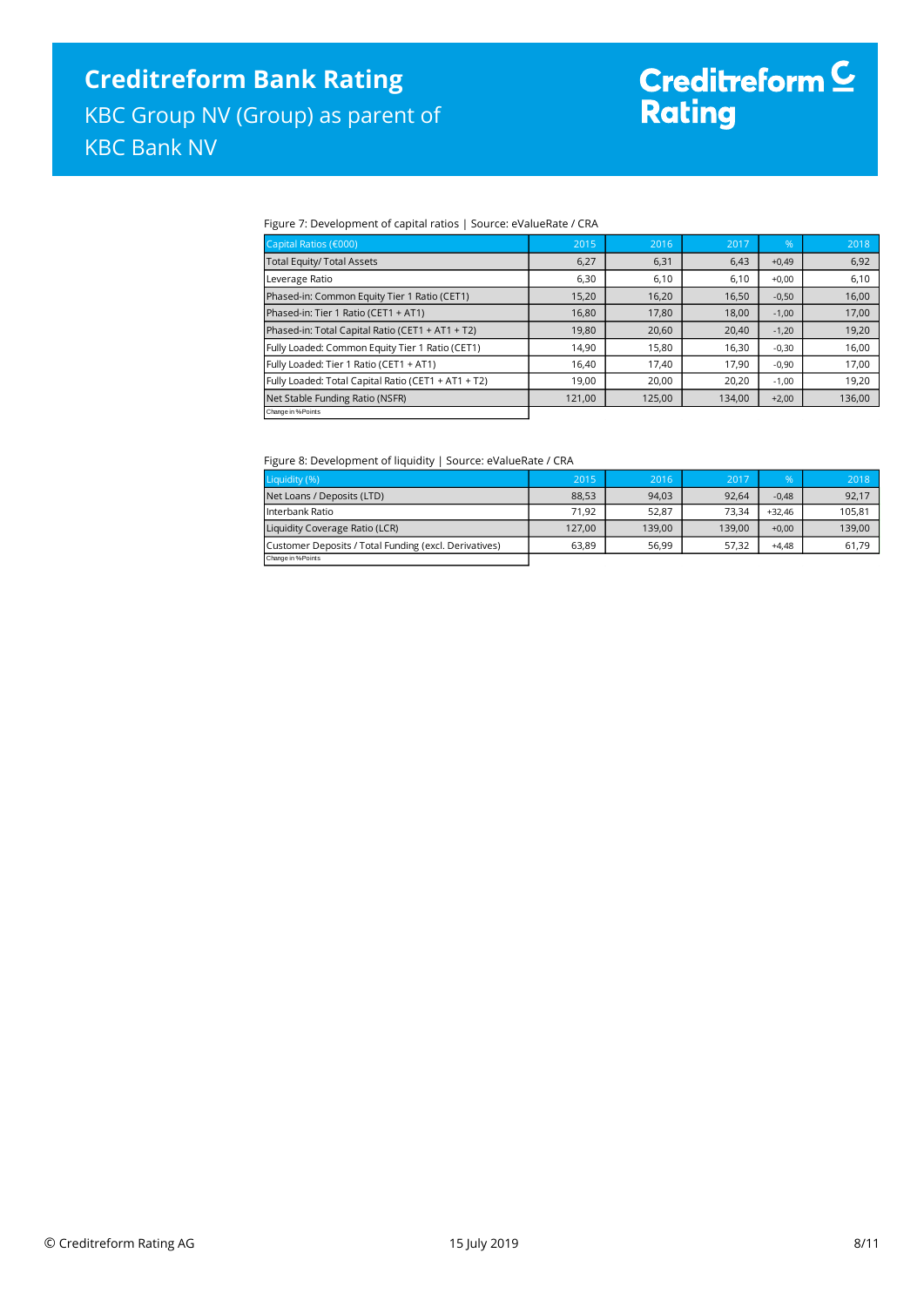# Creditreform C<br>Rating

#### Figure 7: Development of capital ratios | Source: eValueRate / CRA

| Capital Ratios (€000)                               | 2015   | 2016   | 2017   | .96     | 2018   |
|-----------------------------------------------------|--------|--------|--------|---------|--------|
| <b>Total Equity/ Total Assets</b>                   | 6,27   | 6,31   | 6,43   | $+0,49$ | 6,92   |
| Leverage Ratio                                      | 6,30   | 6,10   | 6,10   | $+0,00$ | 6,10   |
| Phased-in: Common Equity Tier 1 Ratio (CET1)        | 15,20  | 16,20  | 16,50  | $-0,50$ | 16,00  |
| Phased-in: Tier 1 Ratio (CET1 + AT1)                | 16,80  | 17,80  | 18,00  | $-1,00$ | 17,00  |
| Phased-in: Total Capital Ratio (CET1 + AT1 + T2)    | 19,80  | 20,60  | 20,40  | $-1,20$ | 19,20  |
| Fully Loaded: Common Equity Tier 1 Ratio (CET1)     | 14.90  | 15,80  | 16,30  | $-0,30$ | 16,00  |
| Fully Loaded: Tier 1 Ratio (CET1 + AT1)             | 16,40  | 17,40  | 17,90  | $-0,90$ | 17,00  |
| Fully Loaded: Total Capital Ratio (CET1 + AT1 + T2) | 19,00  | 20,00  | 20,20  | $-1,00$ | 19,20  |
| Net Stable Funding Ratio (NSFR)                     | 121,00 | 125,00 | 134,00 | $+2,00$ | 136,00 |
| Change in % Points                                  |        |        |        |         |        |

#### Figure 8: Development of liquidity | Source: eValueRate / CRA

| Liquidity (%)                                         | 2015   | 2016   | 2017   | $\%$     | 2018   |
|-------------------------------------------------------|--------|--------|--------|----------|--------|
| Net Loans / Deposits (LTD)                            | 88.53  | 94.03  | 92.64  | $-0.48$  | 92,17  |
| Interbank Ratio                                       | 71.92  | 52.87  | 73.34  | $+32.46$ | 105,81 |
| Liquidity Coverage Ratio (LCR)                        | 127.00 | 139.00 | 139.00 | $+0.00$  | 139,00 |
| Customer Deposits / Total Funding (excl. Derivatives) | 63.89  | 56.99  | 57.32  | $+4.48$  | 61,79  |
| Change in % Points                                    |        |        |        |          |        |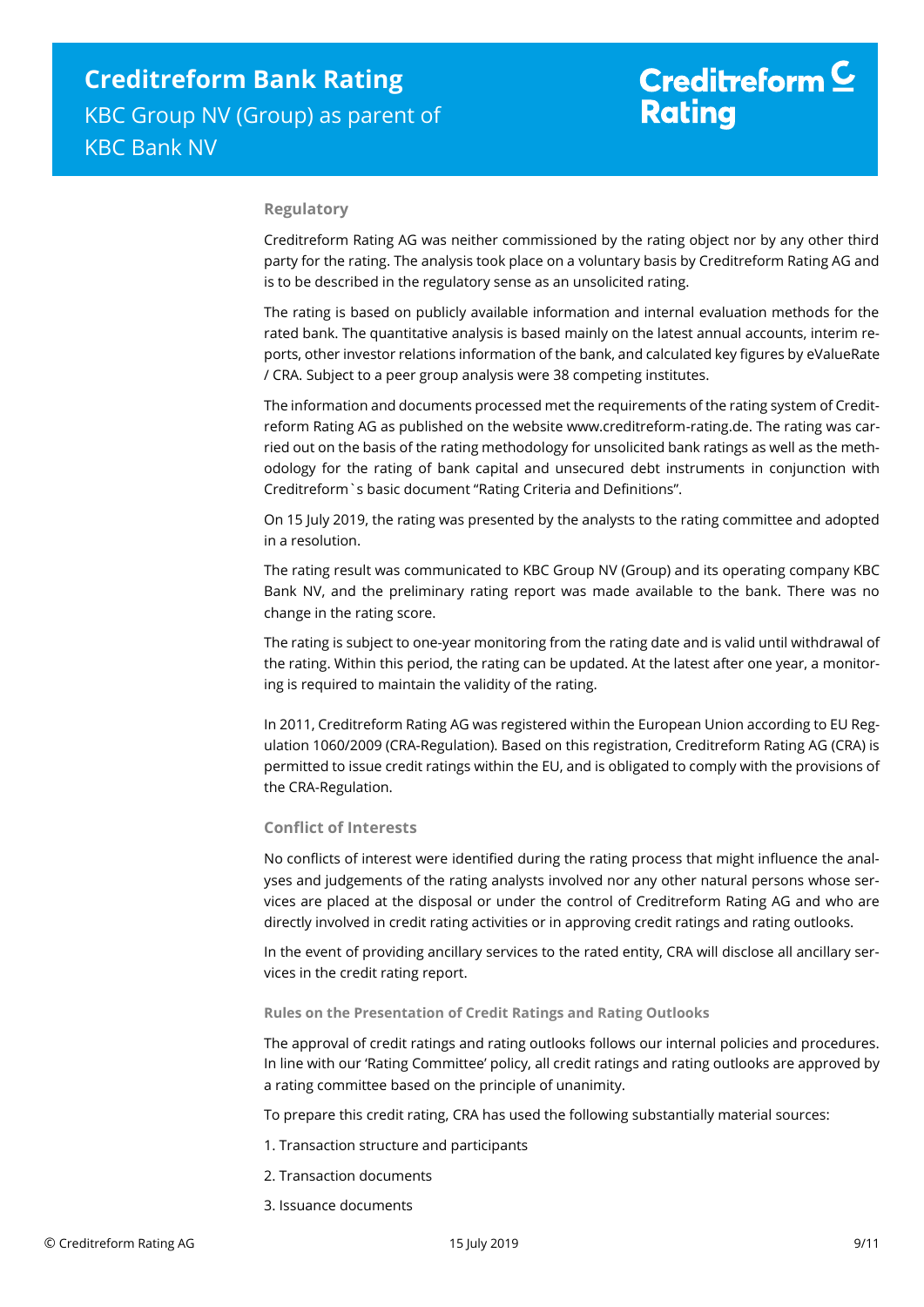#### **Regulatory**

Creditreform Rating AG was neither commissioned by the rating object nor by any other third party for the rating. The analysis took place on a voluntary basis by Creditreform Rating AG and is to be described in the regulatory sense as an unsolicited rating.

The rating is based on publicly available information and internal evaluation methods for the rated bank. The quantitative analysis is based mainly on the latest annual accounts, interim reports, other investor relations information of the bank, and calculated key figures by eValueRate / CRA. Subject to a peer group analysis were 38 competing institutes.

The information and documents processed met the requirements of the rating system of Creditreform Rating AG as published on the website www.creditreform-rating.de. The rating was carried out on the basis of the rating methodology for unsolicited bank ratings as well as the methodology for the rating of bank capital and unsecured debt instruments in conjunction with Creditreform`s basic document "Rating Criteria and Definitions".

On 15 July 2019, the rating was presented by the analysts to the rating committee and adopted in a resolution.

The rating result was communicated to KBC Group NV (Group) and its operating company KBC Bank NV, and the preliminary rating report was made available to the bank. There was no change in the rating score.

The rating is subject to one-year monitoring from the rating date and is valid until withdrawal of the rating. Within this period, the rating can be updated. At the latest after one year, a monitoring is required to maintain the validity of the rating.

In 2011, Creditreform Rating AG was registered within the European Union according to EU Regulation 1060/2009 (CRA-Regulation). Based on this registration, Creditreform Rating AG (CRA) is permitted to issue credit ratings within the EU, and is obligated to comply with the provisions of the CRA-Regulation.

#### **Conflict of Interests**

No conflicts of interest were identified during the rating process that might influence the analyses and judgements of the rating analysts involved nor any other natural persons whose services are placed at the disposal or under the control of Creditreform Rating AG and who are directly involved in credit rating activities or in approving credit ratings and rating outlooks.

In the event of providing ancillary services to the rated entity, CRA will disclose all ancillary services in the credit rating report.

#### **Rules on the Presentation of Credit Ratings and Rating Outlooks**

The approval of credit ratings and rating outlooks follows our internal policies and procedures. In line with our 'Rating Committee' policy, all credit ratings and rating outlooks are approved by a rating committee based on the principle of unanimity.

To prepare this credit rating, CRA has used the following substantially material sources:

- 1. Transaction structure and participants
- 2. Transaction documents
- 3. Issuance documents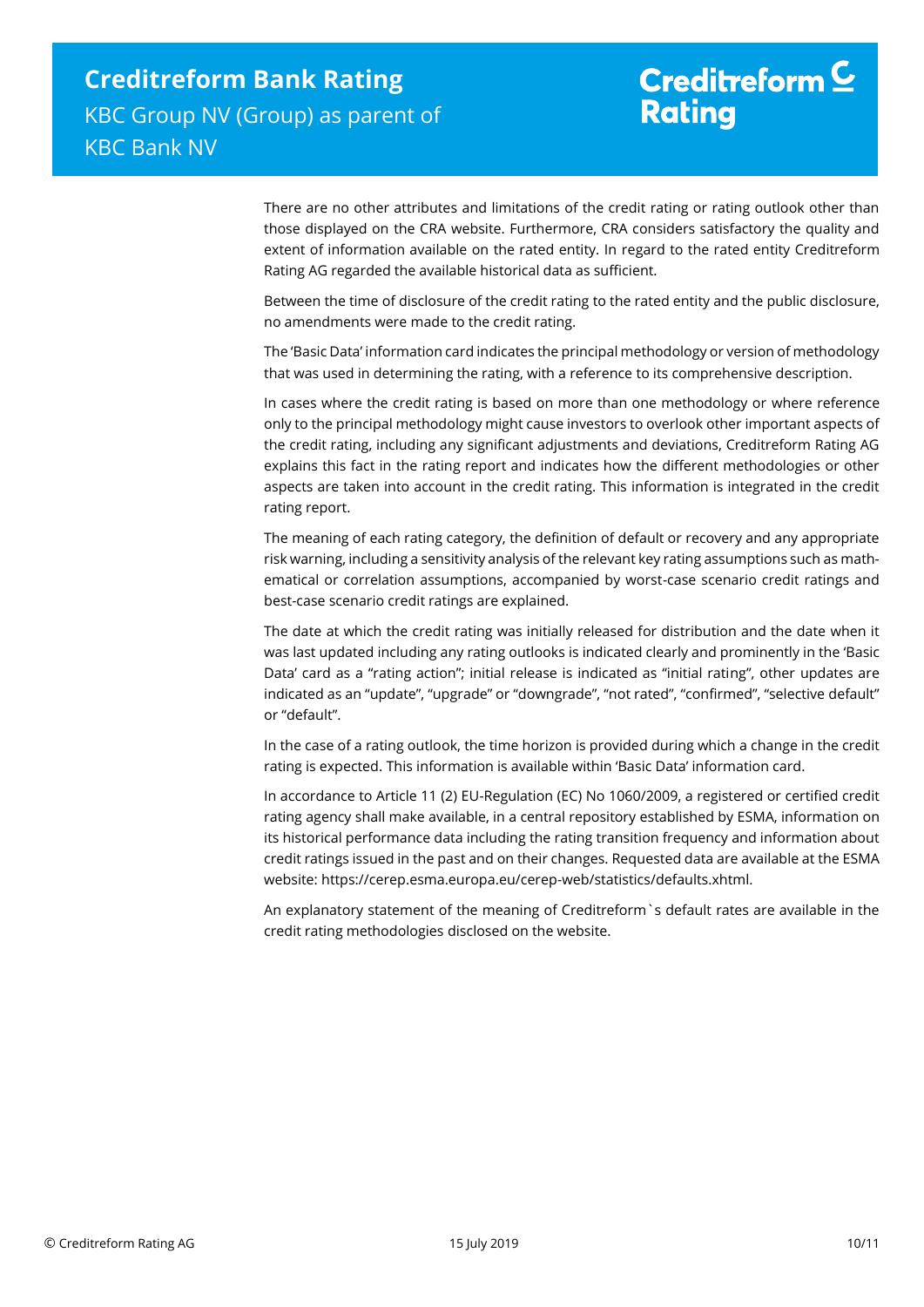There are no other attributes and limitations of the credit rating or rating outlook other than those displayed on the CRA website. Furthermore, CRA considers satisfactory the quality and extent of information available on the rated entity. In regard to the rated entity Creditreform Rating AG regarded the available historical data as sufficient.

Between the time of disclosure of the credit rating to the rated entity and the public disclosure, no amendments were made to the credit rating.

The 'Basic Data' information card indicates the principal methodology or version of methodology that was used in determining the rating, with a reference to its comprehensive description.

In cases where the credit rating is based on more than one methodology or where reference only to the principal methodology might cause investors to overlook other important aspects of the credit rating, including any significant adjustments and deviations, Creditreform Rating AG explains this fact in the rating report and indicates how the different methodologies or other aspects are taken into account in the credit rating. This information is integrated in the credit rating report.

The meaning of each rating category, the definition of default or recovery and any appropriate risk warning, including a sensitivity analysis of the relevant key rating assumptions such as mathematical or correlation assumptions, accompanied by worst-case scenario credit ratings and best-case scenario credit ratings are explained.

The date at which the credit rating was initially released for distribution and the date when it was last updated including any rating outlooks is indicated clearly and prominently in the 'Basic Data' card as a "rating action"; initial release is indicated as "initial rating", other updates are indicated as an "update", "upgrade" or "downgrade", "not rated", "confirmed", "selective default" or "default".

In the case of a rating outlook, the time horizon is provided during which a change in the credit rating is expected. This information is available within 'Basic Data' information card.

In accordance to Article 11 (2) EU-Regulation (EC) No 1060/2009, a registered or certified credit rating agency shall make available, in a central repository established by ESMA, information on its historical performance data including the rating transition frequency and information about credit ratings issued in the past and on their changes. Requested data are available at the ESMA website: https://cerep.esma.europa.eu/cerep-web/statistics/defaults.xhtml.

An explanatory statement of the meaning of Creditreform`s default rates are available in the credit rating methodologies disclosed on the website.